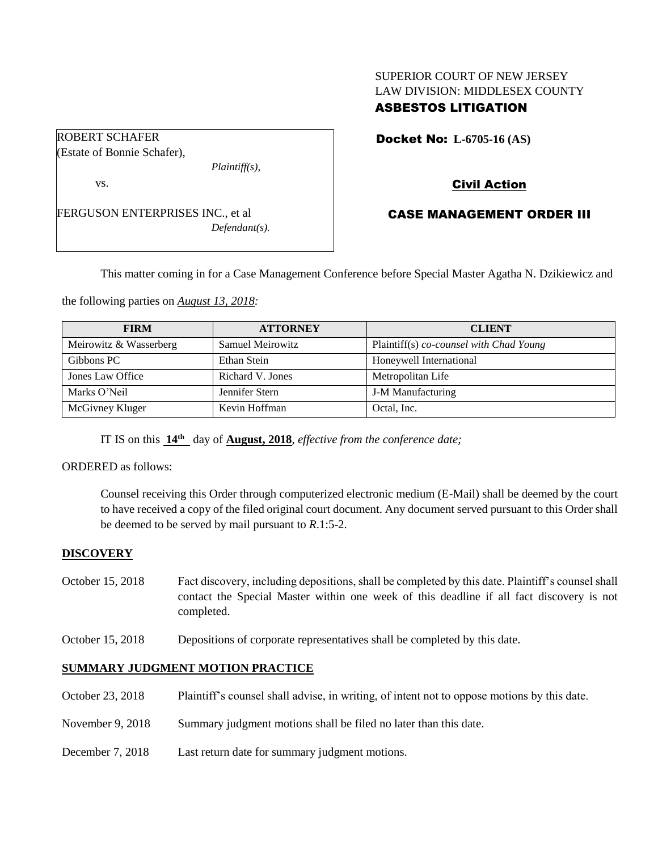## SUPERIOR COURT OF NEW JERSEY LAW DIVISION: MIDDLESEX COUNTY ASBESTOS LITIGATION

Docket No: **L-6705-16 (AS)** 

(Estate of Bonnie Schafer),

ROBERT SCHAFER

*Plaintiff(s),*

vs.

FERGUSON ENTERPRISES INC., et al *Defendant(s).* Civil Action

# CASE MANAGEMENT ORDER III

This matter coming in for a Case Management Conference before Special Master Agatha N. Dzikiewicz and

the following parties on *August 13, 2018:*

| <b>FIRM</b>            | <b>ATTORNEY</b>  | <b>CLIENT</b>                           |
|------------------------|------------------|-----------------------------------------|
| Meirowitz & Wasserberg | Samuel Meirowitz | Plaintiff(s) co-counsel with Chad Young |
| Gibbons PC             | Ethan Stein      | Honeywell International                 |
| Jones Law Office       | Richard V. Jones | Metropolitan Life                       |
| Marks O'Neil           | Jennifer Stern   | <b>J-M Manufacturing</b>                |
| McGivney Kluger        | Kevin Hoffman    | Octal, Inc.                             |

IT IS on this **14th** day of **August, 2018**, *effective from the conference date;*

ORDERED as follows:

Counsel receiving this Order through computerized electronic medium (E-Mail) shall be deemed by the court to have received a copy of the filed original court document. Any document served pursuant to this Order shall be deemed to be served by mail pursuant to *R*.1:5-2.

## **DISCOVERY**

- October 15, 2018 Fact discovery, including depositions, shall be completed by this date. Plaintiff's counsel shall contact the Special Master within one week of this deadline if all fact discovery is not completed.
- October 15, 2018 Depositions of corporate representatives shall be completed by this date.

## **SUMMARY JUDGMENT MOTION PRACTICE**

- October 23, 2018 Plaintiff's counsel shall advise, in writing, of intent not to oppose motions by this date.
- November 9, 2018 Summary judgment motions shall be filed no later than this date.
- December 7, 2018 Last return date for summary judgment motions.